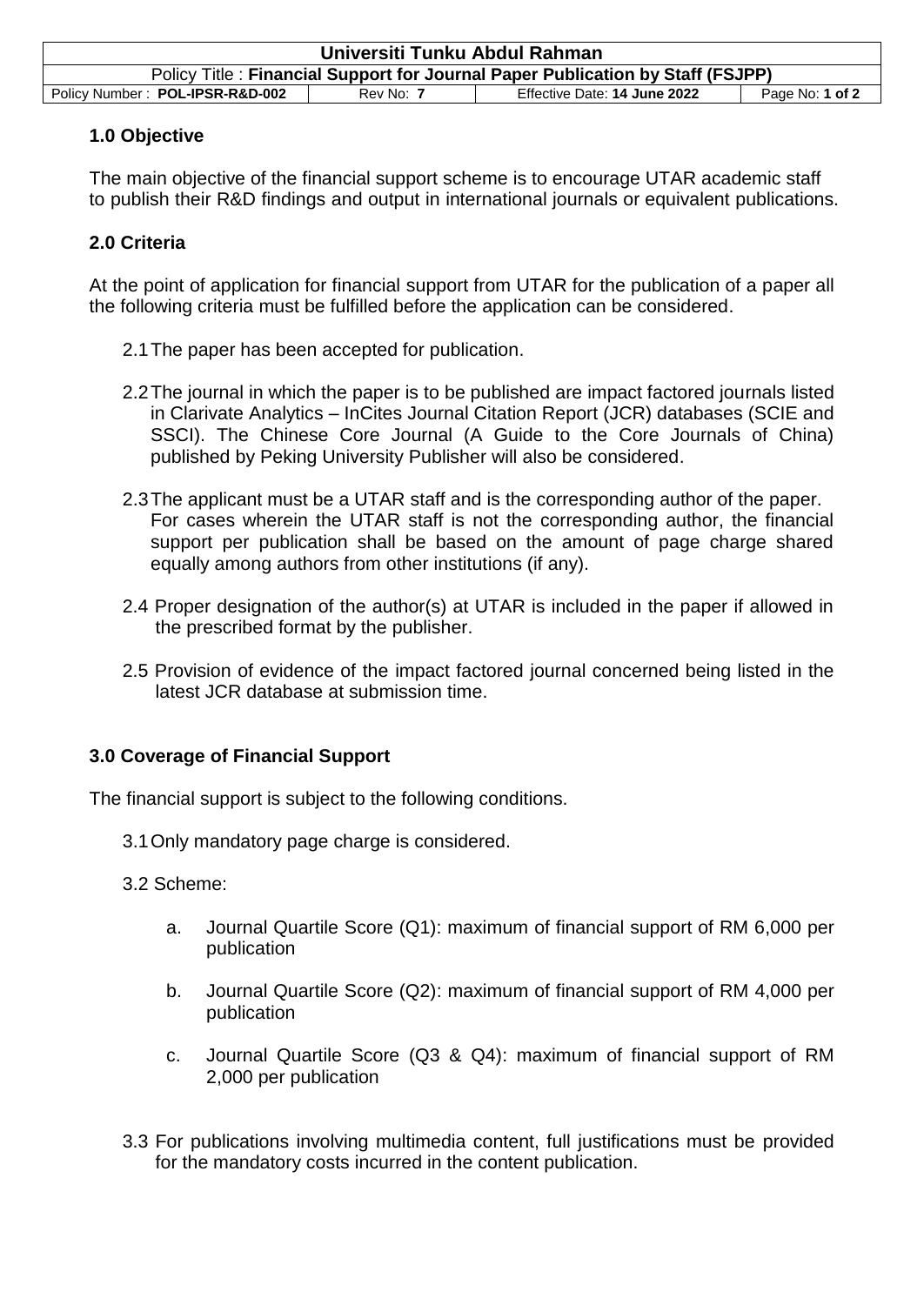| Universiti Tunku Abdul Rahman                                                  |           |                              |                 |  |
|--------------------------------------------------------------------------------|-----------|------------------------------|-----------------|--|
| Policy Title: Financial Support for Journal Paper Publication by Staff (FSJPP) |           |                              |                 |  |
| Policy Number: POL-IPSR-R&D-002                                                | Rev No: 7 | Effective Date: 14 June 2022 | Page No: 1 of 2 |  |

### **1.0 Objective**

The main objective of the financial support scheme is to encourage UTAR academic staff to publish their R&D findings and output in international journals or equivalent publications.

### **2.0 Criteria**

At the point of application for financial support from UTAR for the publication of a paper all the following criteria must be fulfilled before the application can be considered.

- 2.1The paper has been accepted for publication.
- 2.2The journal in which the paper is to be published are impact factored journals listed in Clarivate Analytics – InCites Journal Citation Report (JCR) databases (SCIE and SSCI). The Chinese Core Journal (A Guide to the Core Journals of China) published by Peking University Publisher will also be considered.
- 2.3The applicant must be a UTAR staff and is the corresponding author of the paper. For cases wherein the UTAR staff is not the corresponding author, the financial support per publication shall be based on the amount of page charge shared equally among authors from other institutions (if any).
- 2.4 Proper designation of the author(s) at UTAR is included in the paper if allowed in the prescribed format by the publisher.
- 2.5 Provision of evidence of the impact factored journal concerned being listed in the latest JCR database at submission time.

# **3.0 Coverage of Financial Support**

The financial support is subject to the following conditions.

- 3.1Only mandatory page charge is considered.
- 3.2 Scheme:
	- a. Journal Quartile Score (Q1): maximum of financial support of RM 6,000 per publication
	- b. Journal Quartile Score (Q2): maximum of financial support of RM 4,000 per publication
	- c. Journal Quartile Score (Q3 & Q4): maximum of financial support of RM 2,000 per publication
- 3.3 For publications involving multimedia content, full justifications must be provided for the mandatory costs incurred in the content publication.